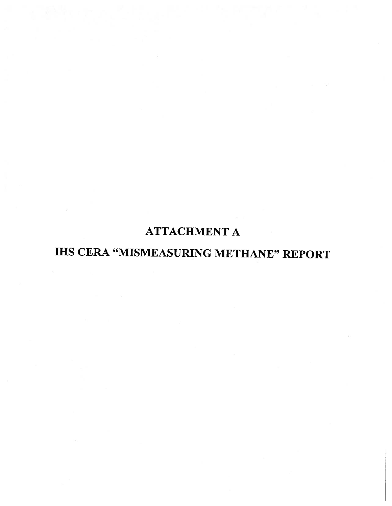# ATTACHMENT A

# IHS CERA "MISMEASURING METHANE" REPORT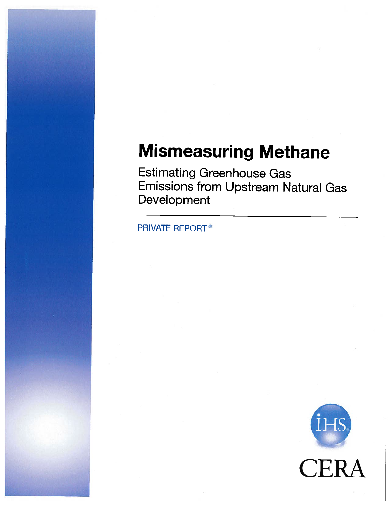# Mismeasuring Methane

Estimating Greenhouse Gas Emissions from Upstream Natural Gas Development

PRIVATE REPORT

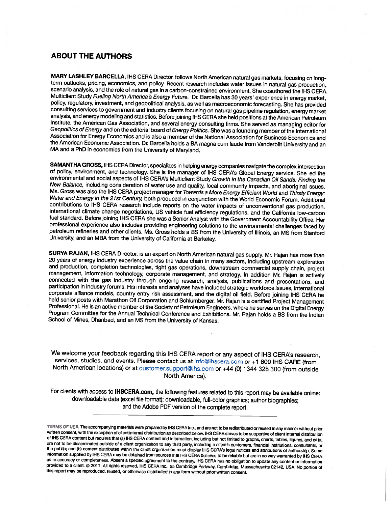#### ABOUT THE AUTHORS

MARY LASHLEY BARCELLA, IHS CERA Director, follows North American natural gas markets, focusing on long-<br>term outlooks, pricing, economics, and policy. Recent research includes water issues in natural gas production,<br>scenar Multiclient Study Fueling North America's Energy Future. Dr. Barcella has 30 years' experience in energy market, policy, regulatory, investment, and geopolitical analysis, as well as macroeconomic forecasting. She has prov consulting services to government and industry clients focusing on natural gas pipeline regulation, energy market analysis, and energy modeling and statistics. Before joining IHS CERA she held positions at the American Pet the American Economic Association. Dr. Barcella holds a BA magna cum laude from Vanderbilt University and an MA and a PhD in economics from the University of Maryland.

**SAMANTHA GROSS, IHS CERA Director, specializes in helping energy companies navigate the complex intersection** of policy, environment, and technology. She is the manager of IHS CERA's Global Energy service. She led the env international climate change negotiations, US vehicle fuel efficiency regulations, and the California low-carbon<br>fuel standard. Before joining IHS CERA she was a Senior Analyst with the Government Accountability Office. He

SURYA RAJAN, IHS CERA Director, is an expert on North American natural gas supply. Mr. Rajan has more than 20 years of energy industry experience across the value chain in many sectors, including upstream exploration and p connected with the gas industry through ongoing research, analysis, publications and presentations, and participation in industry forums. His interests and analyses have included strategic workforce issues, international c held senior posts with Marathon Oil Corporation and Schlumberger. Mr. Rajan is a certified Project Management<br>Professional. He is an active member of the Society of Petroleum Engineers, where he serves on the Digital Energ

We welcome your feedback regarding this IHS CERA report or any aspect of IHS CERA's research, services, studies, and events. Please contact us at info@ihscera.com or +1 800 IHS CARE (from North American locations) or at customer.support@ihs.com or ÷44 (0) <sup>1344</sup> <sup>328</sup> <sup>300</sup> (from outside North America).

For clients with access to IHSCERA.com, the following features related to this report may be available online: downloadable data (excel file format); downloadable, full-color graphics; author biographies; and the Adobe PDF version of the complete report.

TERMS OF USE. The accompanying materials were prepared by IHS CERA Inc., and are not to be redistributed or reused in any manner without prior<br>written consent, with the exception of client internal distribution as describe the public; and (b) content distributed within the client organization must display IHS CERA's legal notices and attributions of authorship. Some<br>Information supplied by IHS CERA may be obtained from sources that IHS CERA as to accuracy or completeness. Absent <sup>a</sup> specific agreement to the contrary. IHS CERA has no Obligation to update any content or information provided to a client. © 2011, All rights reserved, IHS CERA Inc., 55 Cambridge Parkway, Cambridge, Massachusetts 02142, USA. No portion of<br>this report may be reproduced, reused, or otherwise distributed in any form without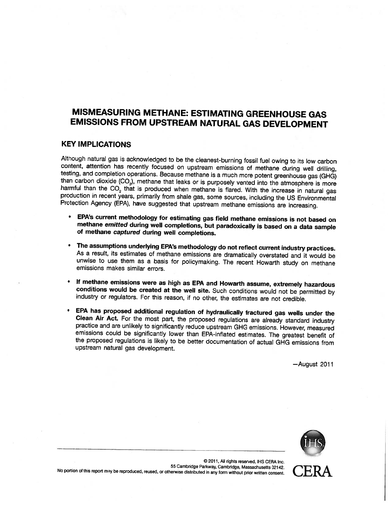# MISMEASURING METHANE: ESTIMATING GREENHOUSE GAS EMISSIONS FROM UPSTREAM NATURAL GAS DEVELOPMENT

#### KEY IMPLICATIONS

Although natural gas is acknowledged to be the cleanest-burning fossil fuel owing to its low carbon content, attention has recently focused on upstream emissions of methane during well drilling, testing, and completion op

- • EPA's current methodology for estimating gas field methane emissions is not based on methane emitted during well completions, but paradoxically is based on a data sample of methane captured during well completions.
- The assumptions underlying EPA's methodology do not reflect current industry practices.<br>As a result, its estimates of methane emissions are dramatically overstated and it would be unwise to use them as a basis for policyma
- If methane emissions were as high as EPA and Howarth assume, extremely hazardous conditions would be created at the well site. Such conditions would not be permitted by industry or regulators. For this reason, if no other,
- EPA has proposed additional regulation of hydraulically fractured gas wells under the Clean Air Act. For the most part, the proposed regulations are already standard industry practice and are unlikely to significantly redu upstream natural gas development.

—August 2011



) 2011, All rights reserved, It-IS CERA Inc. No portion of this report may be reproduced, reused, or otherwise distributed in any form without prior written consent.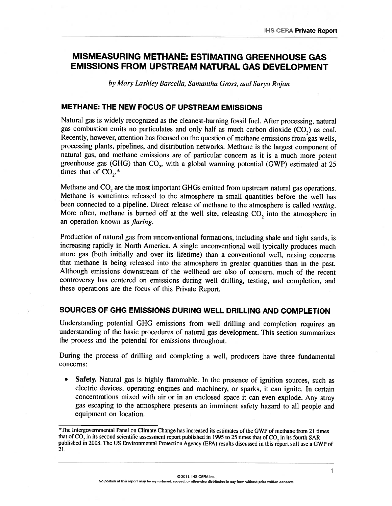## MISMEASURING METHANE: ESTIMATING GREENHOUSE GAS EMISSIONS FROM UPSTREAM NATURAL GAS DEVELOPMENT

by Mary Lashley Barcella, Samantha Gross, and Surya Rajan.

#### METHANE: THE NEW FOCUS OF UPSTREAM EMISSIONS

Natural gas is widely recognized as the cleanest-burning fossil fuel. After processing, natural gas combustion emits no particulates and only half as much carbon dioxide  $(CO<sub>n</sub>)$  as coal. Recently, however, attention has focused on the question of methane emissions from gas wells, processing <sup>p</sup>lants, <sup>p</sup>ipelines, and distribution networks. Methane is the largest componen<sup>t</sup> of natural gas, and methane emissions are of particular concern as it is a much more potent greenhouse gas (GHG) than CO<sub>2</sub>, with a global warming potential (GWP) estimated at 25 times that of CO,.\*

Methane and CO<sub>2</sub> are the most important GHGs emitted from upstream natural gas operations. Methane is sometimes released to the atmosphere in small quantities before the well has been connected to a pipeline. Direct release of methane to the atmosphere is called venting. More often, methane is burned off at the well site, releasing CO, into the atmosphere in an operation known as *flaring*.

Production of natural gas from unconventional formations, including shale and tight sands, is increasing rapidly in North America. <sup>A</sup> single unconventional well typically produces much more gas (both initially and over its lifetime) than <sup>a</sup> conventional well, raising concerns that methane is being released into the atmosphere in greater quantities than in the past. Although emissions downstream of the wellhead are also of concern, much of the recent controversy has centered on emissions during well drilling, testing, and completion, and these operations are the focus of this Private Report.

#### SOURCES OF GHG EMISSIONS DURING WELL DRILLING AND COMPLETION

Understanding potential GHG emissions from well drilling and completion requires an understanding of the basic procedures of natural gas development. This section summarizes the process and the potential for emissions throughout.

During the process of drilling and completing <sup>a</sup> well, producers have three fundamental concerns:

 Safety. Natural gas is highly flammable. In the presence of ignition sources, such as electric devices, operating engines and machinery, or sparks, it can ignite. In certain concentrations mixed with air or in an enclosed space it can even explode. Any stray gas escaping to the atmosphere presents an imminent safety hazard to all people and equipment on location.

The Intergovernmental Panel on Climate Change has increased its estimates of the GWP of methane from <sup>21</sup> times that of CO<sub>2</sub> in its second scientific assessment report published in 1995 to 25 times that of CO<sub>2</sub> in its fourth SAR published in 2008. The US Environmental Protection Agency (EPA) results discussed in this report still use a GWP of 2!.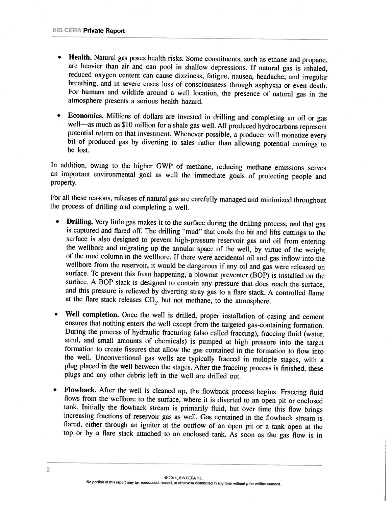- Health. Natural gas poses health risks. Some constituents, such as ethane and propane, are heavier than air and can pool in shallow depressions. If natural gas is inhaled, reduced oxygen content can cause dizziness, fatigue, nausea, headache, and irregular breathing, and in severe cases loss of consciousness through asphyxia or even death. For humans and wildlife around <sup>a</sup> well location, the presence of natural gas in the atmosphere presents <sup>a</sup> serious health hazard.
- Economics. Millions of dollars are invested in drilling and completing an oil or gas well—as much as \$10 million for a shale gas well. All produced hydrocarbons represent potential return on that investment. Whenever possi hit of produced gas by diverting to sales rather than allowing potential earnings to he lost.

In addition, owing to the higher GWP of methane, reducing methane emissions serves an important environmental goal as well the immediate goals of protecting people and property.

For all these reasons, releases of natural gas are carefully managed and minimized throughout the process of drilling and completing <sup>a</sup> well.

- •**Drilling.** Very little gas makes it to the surface during the drilling process, and that gas is captured and flared off. The drilling "mud" that cools the bit and lifts cuttings to the surface is also designed to prevent wellbore from the reservoir, it would be dangerous if any oil and gas were released on surface. To prevent this from happening, <sup>a</sup> blowout preventer (BOP) is installed on the surface. <sup>A</sup> BOP stack is designed to contain any pressure that does reach the surface, and this pressure is relieved by diverting stray gas to <sup>a</sup> flare stack. <sup>A</sup> controlled flame at the flare stack releases  $CO<sub>2</sub>$ , but not methane, to the atmosphere.
- •Well completion. Once the well is drilled, proper installation of casing and cement ensures that nothing enters the well except from the targeted gas-containing formation. During the process of hydraulic fracturing (also called fraccing), fraccing fluid (water, sand, and small amounts of chemicals) is pumped at high pressure into the target formation to create fissures that allow the gas contained in the formation to flow into the well. Unconventional gas wells are typically fracced in multiple stages, with <sup>a</sup> <sup>p</sup>lug <sup>p</sup>laced in the well between the stages. After the fraccing process is finished, these <sup>p</sup>lugs and any other debris left in the well are drilled out.
- • Flowback. After the well is cleaned up, the fiowback process begins. Fraccing fluid flows from the wellhore to the surface, where it is diverted to an open <sup>p</sup>it or enclosed tank. Initially the flowback stream is primarily fluid, but over time this flow brings increasing fractions of reservoir gas as well. Gas contained in the flowback stream is flared, either through an igniter at the outflow of an open <sup>p</sup>it or <sup>a</sup> tank open at the top or by <sup>a</sup> flare stack attached to an enclosed tank. As soon as the gas flow is in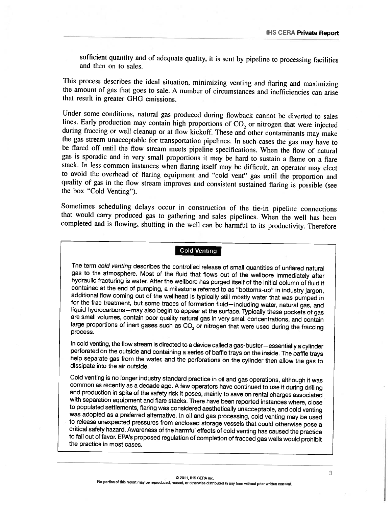sufficient quantity and of adequate quality, it is sent by <sup>p</sup>ipeline to processing facilities and then on to sales.

This process describes the ideal situation, minimizing venting and flaring and maximizing the amount of gas that goes to sale. <sup>A</sup> number of circumstances and inefficiencies can arise that result in greater GHG emissions.

Under some conditions, natural gas produced during flowback cannot be diverted to sales lines. Early production may contain high proportions of  $CO<sub>2</sub>$  or nitrogen that were injected during fraccing or well cleanup or at flow kickoff. These and other contaminants may make the gas stream unacceptable for transportation pipelines. In such cases the gas may have to be flared off until the flow stream meet gas is sporadic and in very small proportions it may he hard to sustain <sup>a</sup> flame on <sup>a</sup> flare stack. In less common instances when flaring itself may he difficult, an operator may elect to avoid the overhead of flaring equipment and "cold vent" gas until the proportion and quality of gas in the flow stream improves and consistent sustained flaring is possible (see the box "Cold Venting").

Sometimes scheduling delays occur in construction of the tie-in pipeline connections that would carry produced gas to gathering and sales pipelines. When the well has been completed and is flowing, shutting in the well can be harmful to its productivity. Therefore

#### Cold Venting

The term cold venting describes the controlled release of small quantities of unflared natural gas to the atmosphere. Most of the fluid that flows out of the wellbore immediately after hydraulic fracturing is water. After the wellbore has purged itself of the initial column of fluid it contained at the end of pumping, a milestone referred to as "bottoms-up" in industry jargon, additional flow coming out large proportions of inert gases such as  $CO<sub>2</sub>$  or nitrogen that were used during the fraccing process.

In cold venting, the flow stream is directed to a device called a gas-buster—essentially a cylinder perforated on the outside and containing a series of baffle trays on the inside. The baffle trays help separate gas from t

Cold venting is no longer industry standard practice in oil and gas operations, although it was common as recently as a decade ago. A few operators have continued to use it during drilling and production in spite of the safety risk it poses, mainly to save on rental charges associated<br>with separation equipment and flare stacks. There have been reported instances where, close<br>to populated settlements, flaring to release unexpected pressures from enclosed storage vessels that could otherwise pose a critical safety hazard. Awareness of the harmful effects of cold venting has caused the practice to fall out of favor. EPA's propose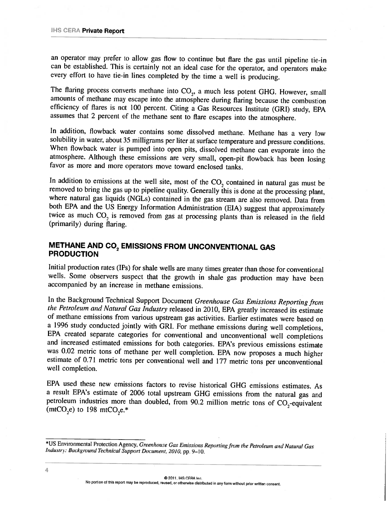an operator may prefer to allow gas flow to continue but flare the gas until pipeline tie-in can he established. This is certainly not an ideal case for the operator, and operators make every effort to have tie-in lines completed by the time a well is producing.

The flaring process converts methane into  $CO<sub>2</sub>$ , a much less potent GHG. However, small amounts of methane may escape into the atmosphere during flaring because the combustion efficiency of flares is not 100 percent. Citing a Gas Resources Institute (GRI) study, EPA assumes that <sup>2</sup> percent of the methane sent to flare escapes into the atmosphere.

In addition, flowback water contains some dissolved methane. Methane has a very low solubility in water, about 35 milligrams per liter at surface temperature and pressure conditions. When flowback waler is pumped into open <sup>p</sup>its, dissolved methane can evaporate into the atmosphere. Although these emissions are very small, open-pit flowback has been losing favor as more and more operators move toward enclosed tanks.

In addition to emissions at the well site, most of the  $CO<sub>2</sub>$  contained in natural gas must be removed to bring the gas up to pipeline quality. Generally this is done at the processing plant, where natural gas liquids (NGLs) contained in the gas stream are also removed. Data from both EPA and the US Energy Information Administration (EIA) suggest that approximately twice as much  $CO<sub>2</sub>$  is removed from gas at processing plants than is released in the field (primarily) during flaring.

#### METHANE AND CO<sub>2</sub> EMISSIONS FROM UNCONVENTIONAL GAS PRODUCTION

Initial production rates (TPs) for shale wells are many times greater than those for conventional wells. Some observers suspect that the growth in shale gas production may have been accompanied by an increase in methane emissions.

In the Background Technical Support Document Greenhouse Gas Emissions Reporting from the Petroleum and Natural Gas Industry released in 2010, EPA greatly increased its estimate of methane emissions from various upstream gas activities. Earlier estimates were based on a 1996 study conducted jointly with GRI. For methane emissions during well completions, EPA created separate categories for conventional and unconventional well completions<br>and increased estimated emissions for both categories. EPA's previous emissions estimate<br>was 0.02 metric tons of methane per well complet estimate of 0.71 metric tons per conventional well and 177 metric tons per unconventional well completion.

EPA used these new emissions factors to revise historical GHG emissions estimates. As a result EPA's estimate of 2006 total upstream GHG emissions from the natural gas and petroleum industries more than doubled, from 90.2 million metric tons of  $CO_2$ -equivalent (mtCO<sub>2</sub>e) to 198 mtCO<sub>2</sub>e.\*

((2 2011 HS CERA Inc.

<sup>\*</sup>US Environmental Protection Agency, Greenhouse Gas Emissions Reporting from the Petroleum and Natural Gas Industry: Background Technical Support Document, 2010, pp. 9–10.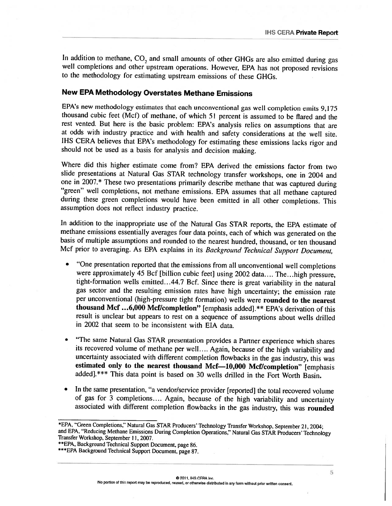In addition to methane, CO, and small amounts of other GHGs are also emitted during gas well completions and other upstream operations. However, EPA has not proposed revisions to the methodology for estimating upstream emissions of these GHGs.

#### New EPA Methodology Overstates Methane Emissions

EPA's new methodology estimates that each unconventional gas well completion emits 9, <sup>175</sup> thousand cubic feet (Mcf) of methane, of which 51 percent is assumed to be flared and the rest vented. But here is the basic problem: EPA's analysis relies on assumptions that are at odds with industry practice and with health and safety considerations at the well site. IHS CERA believes that EPA's methodology for estimating these emissions lacks rigor and should not he used as <sup>a</sup> basis For analysis and decision making.

Where did this higher estimate come from? EPA derived the emissions factor from two slide presentations at Natural Gas STAR technology transfer workshops, one in <sup>2004</sup> and one in 2007.\* These two presentations primarily describe methane that was captured during "green" well completions, not methane emissions. EPA assumes that all methane captured during these green completions would have been emitted in all other completions. This assumption does not reflect industry practice.

In addition to the inappropriate use of the Natural Gas STAR reports, the EPA estimate of methane emissions essentially averages four data points, each of which was generated on the basis of multiple assumptions and rounded to the nearest hundred, thousand, or ten thousand Mcf prior to averaging. As EPA explains in its Background Technical Support Document,

- • "One presentation reported that the emissions from all unconventional well completions were approximately 45 Bcf [billion cubic feet] using 2002 data.... The...high pressure, tight-formation wells emitted...44.7 Bcf. Since there is great variability in the natural gas sector and the resulting emission rates have high uncertainty; the emission rate per unconventional (high-pressure tight formation) wells were rounded to the nearest thousand Mcf ...6,000 Mcf/completion" [emphasis added].\*\* EPA's derivation of this result is unclear but appears to rest on <sup>a</sup> sequence of assumptions about wells drilled in 2002 that seem to be inconsistent with EIA data.
- • "The same Natural Gas STAR presentation provides <sup>a</sup> Partner experience which shares its recovered volume of methane per well.... Again, because of the high variability and uncertainty associated with different completion flowbacks in the gas industry, this was estimated only to the nearest thousand Mcf—10,000 Mcf/completion" [emphasis added].\*\*\* This data point is based on 30 wells drilled in the Fort Worth Basin.
- • In the same presentation, "a vendor/service provider [reported] the total recovered volume of gas for 3 completions.... Again, because of the high variability and uncertainty associated with different completion flowbacks in the gas industry, this was rounded

<sup>\*</sup>EPA, "Green Completions," Natural Gas STAR Producers' Technology Transfer Workshop, September 21, 2004;<br>and EPA, "Reducing Methane Emissions During Completion Operations," Natural Gas STAR Producers' Technology<br>Transfer W

<sup>\*\*\*</sup> EPA Background Technical Support Document, page 87.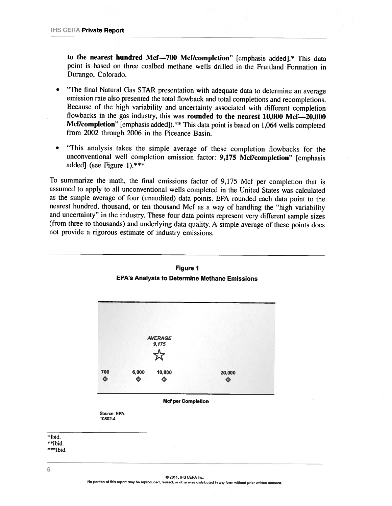to the nearest hundred Mcf-700 Mcf/completion" [emphasis added].\* This data point is based on three coalbed methane wells drilled in the Fruitland Formation in Durango, Colorado.

- "The final Natural Gas STAR presentation with adequate data to determine an average emission rate also presented the total flowback and total completions and recompletions. Because of the high variability and uncertainty associated with different completion flowbacks in the gas industry, this was rounded to the nearest  $10,000$  Mcf—20,000 Mcf/completion" [emphasis added]). \*\* This data point is based on 1,064 wells completed from 2002 through <sup>2006</sup> in the Piceance Basin.
- • "This analysis takes the simple average of these completion flowbacks for the unconventional well completion emission factor: 9,175 Mcf/completion" [emphasis added] (see Figure 1). $***$

To summarize the math, the final emissions factor of 9,175 Mcf per completion that is assumed to apply to all unconventional wells completed in the United States was calculated as the simple average of four (unaudited) data points. EPA rounded each data point to the nearest hundred, thousand, or ten thousand Mcf as <sup>a</sup> way of handling the "high variability and uncertainty" in the industry. These four data points represent very different sample sizes (from three to thousands) and underlying data quality. <sup>A</sup> simple average of these points does not provide <sup>a</sup> rigorous estimate of industry emissions.



#### Figure 1 EPA's Analysis to Determine Methane Emissions

\*\*\*Ibid.

Ibid. 'Ibid.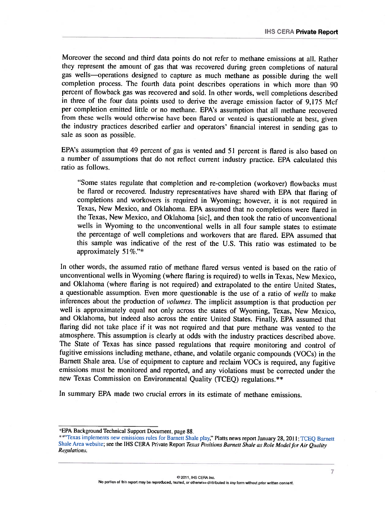Moreover the second and third data points do not refer to methane emissions at all. Rather they represent the amount of gas that was recovered during green completions of natural gas wells—operations designed to capture as much methane as possible during the well completion process. The fourth data point describes operations in which more than <sup>90</sup> percent of flowback gas was recovered and sold. In other words, well completions described in three of the four data points used to derive the average emission factor of 9,175 Mcf per completion emitted little or no methane. EPA's assumption that all methane recovered from these wells would otherwise have been flared or vented is questionable at best, <sup>g</sup>iven the industry practices described earlier and operators' financial interest in sending gas to sale as soon as possible.

EPA's assumption that <sup>49</sup> percent of gas is vented and <sup>51</sup> percent is flared is also based on <sup>a</sup> number of assumptions that do not reflect current industry practice. EPA calculated this ratio as follows.

"Some states regulate that completion and re-completion (workover) flowbacks must be flared or recovered. Industry representatives have shared with EPA that flaring of completions and workovers is required in Wyoming; however, it is not required in Texas, New Mexico, and Oklahoma. EPA assumed that no completions were flared in the Texas, New Mexico, and Oklahoma [sic], and then took the ratio of unconventional wells in Wyoming to the unconventional wells in all four sample states to estimate the percentage of well completions and workovers that are flared. EPA assumed that this sample was indicative of the rest of the U.S. This ratio was estimated to be approximately  $51\%$ ."\*

In other words, the assumed ratio of methane flared versus vented is based on the ratio of unconventional wells in Wyoming (where flaring is required) to wells in Texas, New Mexico, and Oklahoma (where flaring is not required) and extrapolated to the entire United States, <sup>a</sup> questionable assumption. Even more questionable is the use of <sup>a</sup> ratio of wells to make inferences about the production of volumes. The implicit assumption is that production per well is approximately equa<sup>l</sup> not only across the states of Wyoming, Texas, New Mexico, and Oklahoma, but indeed also across the entire United States. Finally, EPA assumed that flaring did not take place if it was not required and that pure methane was vented to the atmosphere. This assumption is clearly at odds with the industry practices described above. The State of Texas has since passed regulations that require monitoring and control of fugitive emissions including methane, ethane, and volatile organic compounds (VOCs) in the Barnett Shale area. Use of equipment to capture and reclaim VOCs is required, any fugitive emissions must be monitored and reported, and any violations must be corrected under the new Texas Commission on Environmental Quality (TCEQ) regulations.\*\*

In summary EPA made two crucial errors in its estimate of methane emissions.

<sup>\*</sup>EPA Background Technical Support Document, page 88.<br>\*\*\*Texas implements new emissions rules for Barnett Shale play," Platts news report January 28, 2011; TCEQ Barnett Shale Area website; see the IHS CERA Private Report Texas Positions Barnett Shale as Role Model for Air Quality Regulations.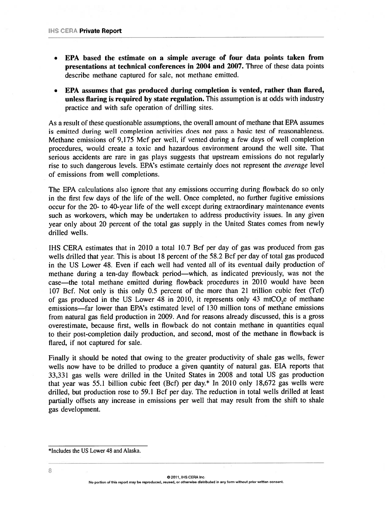- • EPA based the estimate on <sup>a</sup> siniple average of four data points taken from presentations at technical conferences in 2004 and 2007. Three of these data points describe methane captured for sale, not methane emitted.
- • EPA assumes that gas produced during completion is vented, rather than flared, unless flaring is required by state regulation. This assumption is at odds with industry practice and with safe operation of drilling sites.

As <sup>a</sup> result of these questionable assumptions, the overall amount of methane that EPA assumes is emitted during well completion activities does not pass <sup>a</sup> basic test of reasonableness. Methane emissions of 9,175 Mcf per well, if vented during <sup>a</sup> few days of well completion procedures, would create <sup>a</sup> toxic and hazardous environment around the well site. That serious accidents are rare in gas <sup>p</sup>lays suggests that upstream emissions do not regularly rise to such dangerous levels. EPA's estimate certainly does not represent the *average* level of emissions from well completions.

The EPA calculations also ignore that any emissions occurring during flowback do so only in the first few days of the life of the well. Once completed, no further fugitive emissions occur for the 20— to 40-year life of the well excep<sup>t</sup> during extraordinary maintenance events such as workovers, which may be undertaken to address productivity issues. In any given year only about <sup>20</sup> percen<sup>t</sup> of the total gas supply in the United States comes from newly drilled wells.

IHS CERA estimates that in 2010 <sup>a</sup> total 10.7 Bcf per day of gas was produced from gas wells drilled that year. This is about 18 percent of the 58.2 Bcf per day of total gas produced in the US Lower 48. Even if each well had vented all of its eventual daily production of methane during <sup>a</sup> ten-day flowback period—which, as indicated previously, was not the case—the total methane emitted during fiowback procedures in 2010 would have been <sup>107</sup> Bcf. Not only is this only 0.5 percen<sup>t</sup> of the more than <sup>21</sup> trillion cubic feet (Tcf) of gas produced in the US Lower  $48$  in 2010, it represents only  $43$  mtCO, e of methane emissions—far lower than EPA's estimated level of 130 million tons of methane emissions from natural gas field production in 2009. And for reasons already discussed, this is <sup>a</sup> gross overestimate, because first, wells in flowback do not contain methane in quantities equal to their post-completion daily production, and second, most of the methane in fiowback is flared, if not captured for sale.

Finally it should be noted that owing to the greater productivity of shale gas wells, fewer wells now have to be drilled to produce <sup>a</sup> given quantity of natural gas. EIA reports that 33,331 gas wells were drilled in the United States in 2008 and total US gas production that year was 55.1 billion cubic feet (Bcf) per day.\* In <sup>2010</sup> only 18,672 gas wells were drilled, but production rose to 59.1 Bcf per day. The reduction in total wells drilled at least partially offsets any increase in emissions per well that may result from the shift to shale gas development.

 $@$  2011, IHS CERA Inc. No portion of this repor<sup>t</sup> may be reproduced, reused, or otherwise distributed in any form without prior written consent.

<sup>\*</sup>Includes the US Lower 48 and Alaska.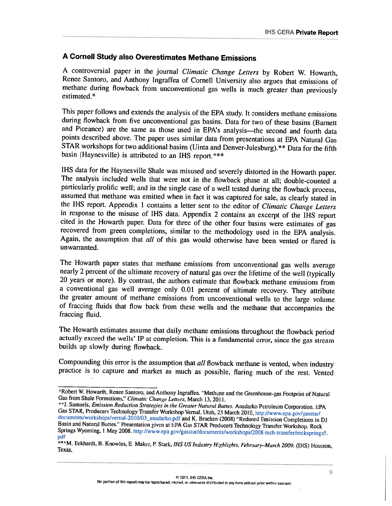## A Cornell Study also Overestimates Methane Emissions

<sup>A</sup> controversial paper in the journal Climatic Change Letters by Robert W. Howarth, Renee Santoro, and Anthony Ingrafica of Cornell University also argues that emissions of methane during flowback from unconventional gas wells is much greater than previously estimated.\*

This paper follows and extends the analysis of the EPA study. It considers methane emissions during flowback from five unconventional gas basins. Data for two of these basins (Barnett and Piceance) are the same as those used in EPA's analysis—the second and fourth data points described above. The paper uses similar data from presentations at EPA Natural Gas STAR workshops for two additional basins (Uinta and Denver-Julesburg).\*\* Data for the fifth basin (Haynesville) is attributed to an IHS report.\*\*\*

IHS data For the Haynesville Shale was misused and severely distorted in the Howarth paper. The analysis included wells that were not in the flowback <sup>p</sup>hase at all; double-counted <sup>a</sup> particularly prolific well; and in the single case of a well tested during the flowback process, assumed that methane was emitted when in fact it was captured for sale, as clearly stated in the IHS report. Appendix 1 contains a letter sent to the editor of *Climatic Change Letters* in response to the misuse of IHS data. Appendix 2 contains an excerpt of the IHS report cited in the Howarth paper. Data for three of the other four basins were estimates of gas recovered from green completions, similar to the methodology used in the EPA analysis. Again, the assumption that *all* of this gas unwarranted.

The Howarth paper states that methane emissions from unconventional gas wells average<br>nearly 2 percent of the ultimate recovery of natural gas over the lifetime of the well (typically<br>20 years or more). By contrast, the au <sup>a</sup> conventional gas well average only 0.01 percent of ultimate recovery. They attribute the greater amount of methane emissions from unconventional wells to the large volume of Fraccing fluids that flow back from these wells and the methane that accompanies the fraccing fluid.

The Howarth estimates assume that daily methane emissions throughout the flowback period actually exceed the wells' IP at completion. This is <sup>a</sup> fundamental error, since the gas stream builds up slowly during flowback.

Compounding this error is the assumption that all flowback methane is vented, when industry practice is to capture and market as much as possible, flaring much of the rest. Vented

<sup>\*</sup>Robert W. Howarth, Renee Santoro, and Anthony Ingraffea. "Methane and the Greenhouse-gas Footprint of Natural Gas from Shale Formations," *Climatic Change Letters*, March 13, 2011.<br>
\*\*J. Samuels, *Emission Reduction Strat* 

Example 1. Eckhardt, B. Knowles, E. Maker, P. Stark, *IHS US Industry Highlights, February–March 2009.* (IHS) Houston, Texas.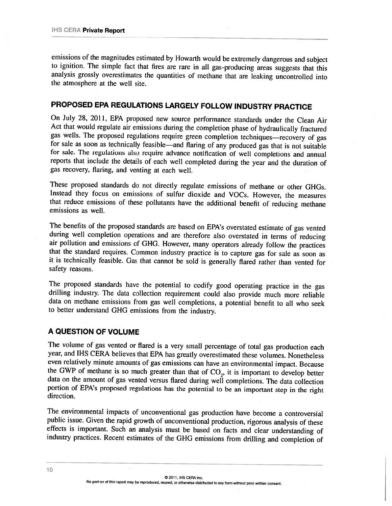emissions of the magnitudes estimated by Howarih Would he extremely dangerous and subject to ignition. The simple fact that fires are rare in all gas-producing areas suggests that this analysis grossly overestimates the quantities of methane that are leaking uncontrolled into the atmosphere at the well site.

# PROPOSED EPA REGULATIONS LARGELY FOLLOW INDUSTRY PRACTICE

On July 28, 2011, EPA proposed new source performance standards under the Clean Air Act that would regulate air emissions during the completion phase of hydraulically fractured gas wells. The proposed regulations require green completion techniques—recovery of gas for sale as soon as technically feasible—and flaring of any produced gas that is not suitable for sale. The regulations also require advance notification of well completions and annual reports that include the details of each well completed during the year and the duration of gas recovery, flaring, and venting at each well.

These proposed standards do not directly regulate emissions of methane or other GHGs. Instead they focus on emissions of sulfur dioxide and VOCs. However, the measures that reduce emissions of these pollutants have the additional benefit of reducing methane emissions as well.

The benefits of the proposed standards are based on EPA's overstated estimate of gas vented during well completion operations and are therefore also overstated in terms of reducing air pollution and emissions of GHG. However, many operators already follow the practices that the standard requires. Common industry practice is to capture gas for sale as soon as it is technically feasible. Gas that cannot be sold is generally flared rather than vented for safety reasons.

The proposed standards have the potential to codify good operating practice in the gas drilling industry. The data collection requirement could also provide much more reliable data on methane emissions from gas well completions, <sup>a</sup> potential benefit to all who seek to better understand GHG emissions from the industry.

#### A QUESTION OF VOLUME

The volume of gas vented or flared is <sup>a</sup> very small percentage of total gas production each year, and IHS CERA believes that EPA has greatly overestimated these volumes. Nonetheless even relatively minute amounts of gas emissions can have an environmental impact. Because the GWP of methane is so much greater than that of  $CO<sub>2</sub>$ , it is important to develop better data on the amount of gas vented versus flared during well completions. The data collection portion of EPA's proposed regulations has the potential to he an important step in the right direction.

The environmental impacts of unconventional gas production have become <sup>a</sup> controversial public issue. Given the rapid growth of unconventional production, rigorous analysis of these effects is important. Such an analysis must be based on facts and clear understanding of industry practices. Recent estimates of the GHG emissions from drilling and completion of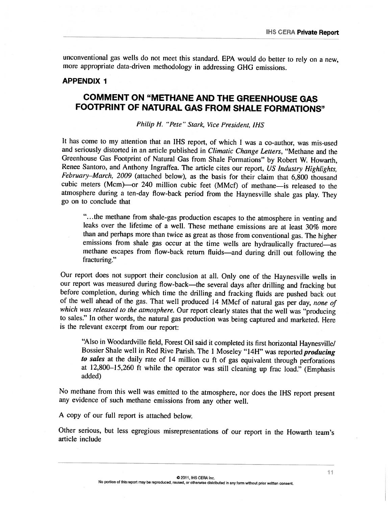unconventional gas wells do not meet this standard. EPA would do better to rely on a new, more appropriate data-driven methodology in addressing GHG emissions.

#### APPENDIX 1

# COMMENT ON "METHANE AND THE GREENHOUSE GAS FOOTPRINT OF NATURAL GAS FROM SHALE FORMATIONS"

Philip H. "Pete" Stark, Vice President, IHS

It has come to my attention that an IHS report, of which I was a co-author, was mis-used and seriously distorted in an article published in *Climatic Change Letters*, "Methane and the Greenhouse Gas Footprint of Natural Gas from Shale Formations" by Robert W. Howarth, Renee Santoro, and Anthony Ingraffea. The article cites our report, US Industry Highlights, February–March, 2009 (attached below), as the basis for their claim that 6,800 thousand cubic meters (Mcm)—or <sup>240</sup> million cubic feet (MMcI) of methane—is released to the atmosphere during a ten-day flow-back period from the Haynesville shale gas play. They go on to conclude that

".. . the methane from shale—gas production escapes to the atmosphere in venting and leaks over the lifetime of a well. These methane emissions are at least 30% more than and perhaps more than twice as great as those from conventional gas. The higher emissions from shale gas occur at the time wells are hydraulically fractured—as methane escapes from flow—back return fluids—and during drill out following the fracturing.''

Our report does not support their conclusion at all. Only one of the Haynesville wells in our report was measured during flow-back—the several days after drilling and fracking but before completion, during which time the drilling and fracking fluids are pushed back out of the well ahead of the gas. That well produced <sup>14</sup> MMcf of natural gas per day, none of which was released to the atmosphere. Our report clearly states that the well was "producing to sales." In other words, the natural gas production was being captured and marketed. Here is the relevant excerpt from our report:

"Also in Woodardville field, Forest Oil said it completed its first horizontal Haynesvifle/ Bossier Shale well in Red Rive Parish. The 1 Moseley "14H" was reported *producing* to sales at the daily rate of 14 million cu ft of gas equivalent through perforations at 12,800—15,260 ft while the operator was still cleaning up frac load." (Emphasis added)

No methane from this well was emitted to the atmosphere, nor does the IFIS report present any evidence of such methane emissions from any other well.

A copy of our full report is attached below.

Other serious, but less egregious misrepresentations of our report in the Howarth team's article include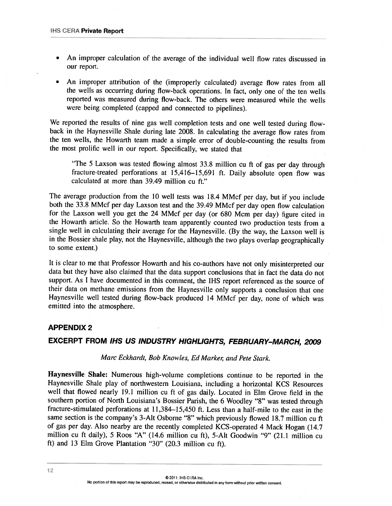- An improper calculation of the average of the individual well flow rates discussed in our report.
- An improper attribution of the (improperly calculated) average flow rates from all the wells as occurring during flow—hack operations. In fact, only one of the ten wells reported was measured during flow-back. The others were measured while the wells were being completed (capped and connected to <sup>p</sup>ipelines).

We reported the results of nine gas well completion tests and one well tested during flowback in the Haynesville Shale during late 2008. In calculating the average flow rates from the ten wells, the Howarth team made a simple error of double-counting the results from the most prolific well in our report. Specifically, we stated that

"The 5 Laxson was tested flowing almost 33.8 million cu ft of gas per day through fracture-treated perforations at 15,416—15,691 ft. Daily absolute open flow was calculated at more than 39.49 million cu ft."

The average production from the 10 well tests was 18.4 MMcf per day, but if you include both the 33.8 MMcf per day Laxson test and the 39.49 MMcf per day open flow calculation for the Laxson well you get the <sup>24</sup> MMcf per day (or <sup>680</sup> Mcm per clay) figure cited in the Howarth article. So the Howarth team apparently counted two production tests from <sup>a</sup> single well in calculating their average for the Haynesville. (By the way, the Laxson well is in the Bossier shale <sup>p</sup>lay, not the Haynesville, although the two <sup>p</sup>lays overlap geographically to some extent.)

It is clear to me that Professor Howarth and his co-authors have not only misinterpreted our data hut they have also claimed that the data support conclusions that in fact the data do not support. As <sup>I</sup> have documented in this comment, the IHS report referenced as the source of their data on methane emissions from the Haynesville only supports <sup>a</sup> conclusion that one Haynesville well tested during flow-back produced <sup>14</sup> MMcf per day, none of which was emitted into the atmosphere.

#### APPENDIX 2

## EXCERPT FROM IHS US INDUSTRY HIGHLIGHTS, FEBRUARY-MARCH, <sup>2009</sup>

#### Marc Eckhardt, Bob Knowles, Ed Marker, and Pete Stark.

Haynesville Shale: Numerous high-volume completions continue to be reported in the Haynesville Shale <sup>p</sup>lay of northwestern Louisiana, including <sup>a</sup> horizontal KCS Resources well that flowed nearly 19.1 million cu ft of gas daily. Located in Elm Grove field in the southern portion of North Louisiana's Bossier Parish, the <sup>6</sup> Woodley "8" was tested through fracture-stimulated perforations at 11,384—15,450 ft. Less than <sup>a</sup> half-mile to the east in the same section is the company's 3-Alt Osborne "8" which previously flowed 18.7 million cu ft of gas per day. Also nearby are the recently completed KCS-operated <sup>4</sup> Mack Hogan (14.7 million cu ft daily), <sup>5</sup> Roos "A" (14.6 million cu ft), 5-Alt Goodwin "9" (21.1 million cu ft) and <sup>13</sup> Elm Grove Plantation "30" (20.3 million cu ft).